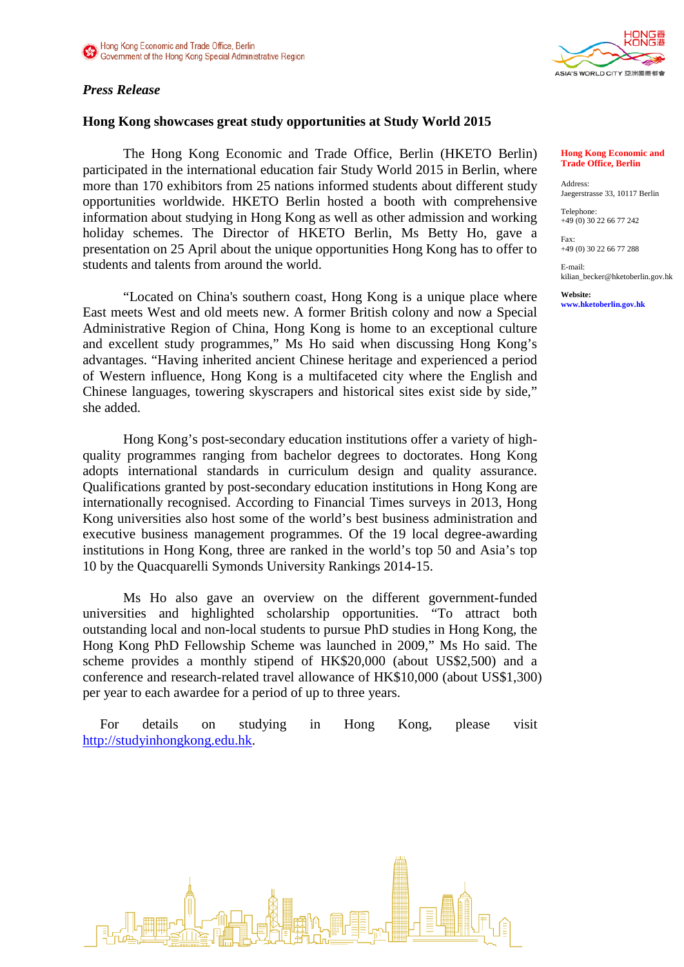## *Press Release*

# ASIA'S WORLD CITY 亞洲國際都

## **Hong Kong showcases great study opportunities at Study World 2015**

The Hong Kong Economic and Trade Office, Berlin (HKETO Berlin) participated in the international education fair Study World 2015 in Berlin, where more than 170 exhibitors from 25 nations informed students about different study opportunities worldwide. HKETO Berlin hosted a booth with comprehensive information about studying in Hong Kong as well as other admission and working holiday schemes. The Director of HKETO Berlin, Ms Betty Ho, gave a presentation on 25 April about the unique opportunities Hong Kong has to offer to students and talents from around the world.

"Located on China's southern coast, Hong Kong is a unique place where East meets West and old meets new. A former British colony and now a Special Administrative Region of China, Hong Kong is home to an exceptional culture and excellent study programmes," Ms Ho said when discussing Hong Kong's advantages. "Having inherited ancient Chinese heritage and experienced a period of Western influence, Hong Kong is a multifaceted city where the English and Chinese languages, towering skyscrapers and historical sites exist side by side," she added.

Hong Kong's post-secondary education institutions offer a variety of highquality programmes ranging from bachelor degrees to doctorates. Hong Kong adopts international standards in curriculum design and quality assurance. Qualifications granted by post-secondary education institutions in Hong Kong are internationally recognised. According to Financial Times surveys in 2013, Hong Kong universities also host some of the world's best business administration and executive business management programmes. Of the 19 local degree-awarding institutions in Hong Kong, three are ranked in the world's top 50 and Asia's top 10 by the Quacquarelli Symonds University Rankings 2014-15.

Ms Ho also gave an overview on the different government-funded universities and highlighted scholarship opportunities. "To attract both outstanding local and non-local students to pursue PhD studies in Hong Kong, the Hong Kong PhD Fellowship Scheme was launched in 2009," Ms Ho said. The scheme provides a monthly stipend of HK\$20,000 (about US\$2,500) and a conference and research-related travel allowance of HK\$10,000 (about US\$1,300) per year to each awardee for a period of up to three years.

 For details on studying in Hong Kong, please visit [http://studyinhongkong.edu.hk.](http://studyinhongkong.edu.hk/)



#### **Hong Kong Economic and Trade Office, Berlin**

Address: Jaegerstrasse 33, 10117 Berlin

Telephone: +49 (0) 30 22 66 77 242

E-mail:

Fax: +49 (0) 30 22 66 77 288

kilian\_becker@hketoberlin.gov.hk **Website:** 

**www.hketoberlin.gov.hk**